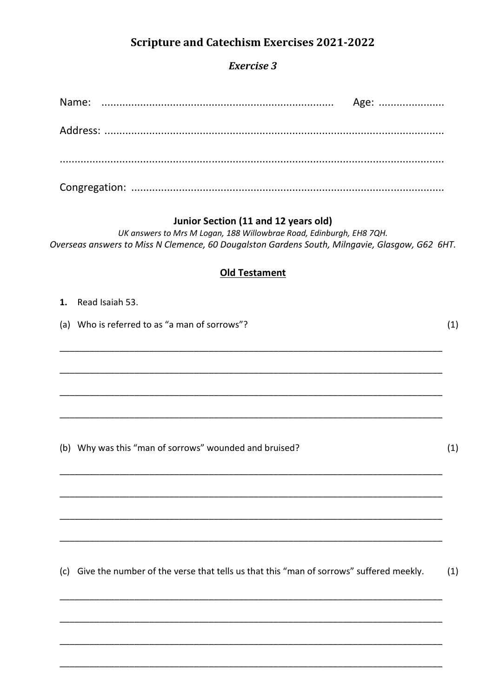# **Scripture and Catechism Exercises 2021-2022**

## **Exercise 3**

|  | Age: |
|--|------|
|  |      |
|  |      |
|  |      |
|  |      |

# Junior Section (11 and 12 years old)

UK answers to Mrs M Logan, 188 Willowbrae Road, Edinburgh, EH8 7QH. Overseas answers to Miss N Clemence, 60 Dougalston Gardens South, Milngavie, Glasgow, G62 6HT.

## **Old Testament**

| 1. | Read Isaiah 53.                                                                            |     |
|----|--------------------------------------------------------------------------------------------|-----|
|    | (a) Who is referred to as "a man of sorrows"?                                              | (1) |
|    |                                                                                            |     |
|    |                                                                                            |     |
|    |                                                                                            |     |
|    |                                                                                            |     |
|    |                                                                                            |     |
|    | (b) Why was this "man of sorrows" wounded and bruised?                                     | (1) |
|    |                                                                                            |     |
|    |                                                                                            |     |
|    |                                                                                            |     |
|    |                                                                                            |     |
|    |                                                                                            |     |
|    | (c) Give the number of the verse that tells us that this "man of sorrows" suffered meekly. | (1) |
|    |                                                                                            |     |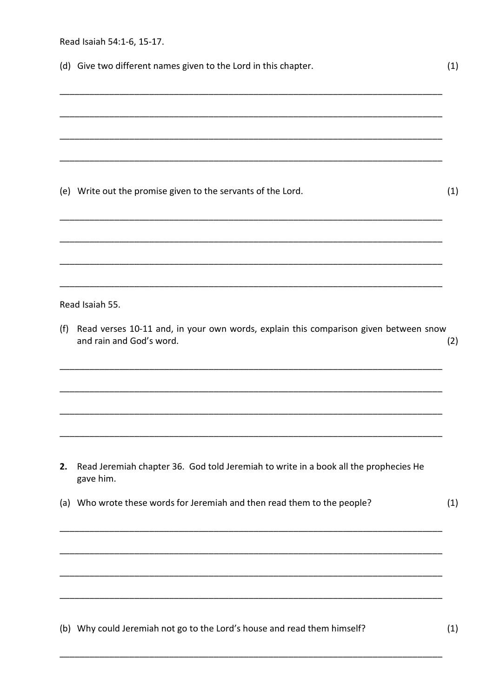|     | Read Isaiah 54:1-6, 15-17.                                                                                       |     |  |  |  |
|-----|------------------------------------------------------------------------------------------------------------------|-----|--|--|--|
|     | (d) Give two different names given to the Lord in this chapter.                                                  | (1) |  |  |  |
|     |                                                                                                                  |     |  |  |  |
|     |                                                                                                                  |     |  |  |  |
|     |                                                                                                                  |     |  |  |  |
|     | (e) Write out the promise given to the servants of the Lord.                                                     | (1) |  |  |  |
|     |                                                                                                                  |     |  |  |  |
|     | Read Isaiah 55.                                                                                                  |     |  |  |  |
| (f) | Read verses 10-11 and, in your own words, explain this comparison given between snow<br>and rain and God's word. | (2) |  |  |  |
|     |                                                                                                                  |     |  |  |  |
|     |                                                                                                                  |     |  |  |  |
| 2.  | Read Jeremiah chapter 36. God told Jeremiah to write in a book all the prophecies He<br>gave him.                |     |  |  |  |
|     | (a) Who wrote these words for Jeremiah and then read them to the people?                                         | (1) |  |  |  |
|     |                                                                                                                  |     |  |  |  |
|     |                                                                                                                  |     |  |  |  |
|     |                                                                                                                  |     |  |  |  |
|     |                                                                                                                  |     |  |  |  |

(b) Why could Jeremiah not go to the Lord's house and read them himself?

 $(1)$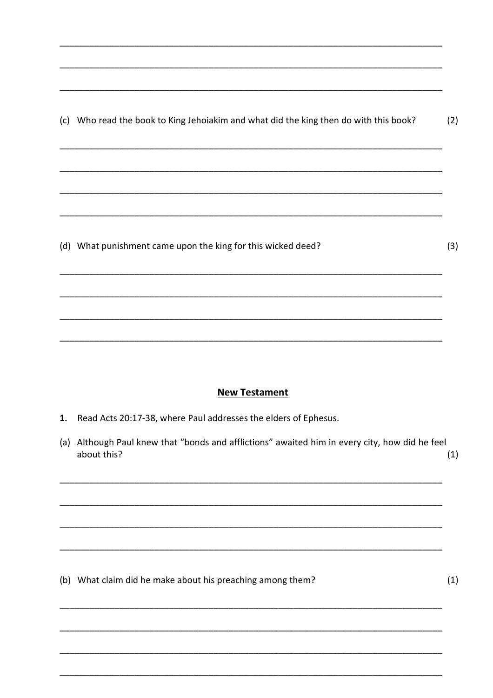(c) Who read the book to King Jehoiakim and what did the king then do with this book?  $(2)$ 

(d) What punishment came upon the king for this wicked deed?

### **New Testament**

- 1. Read Acts 20:17-38, where Paul addresses the elders of Ephesus.
- (a) Although Paul knew that "bonds and afflictions" awaited him in every city, how did he feel about this?  $(1)$

(b) What claim did he make about his preaching among them?

 $(1)$ 

 $(3)$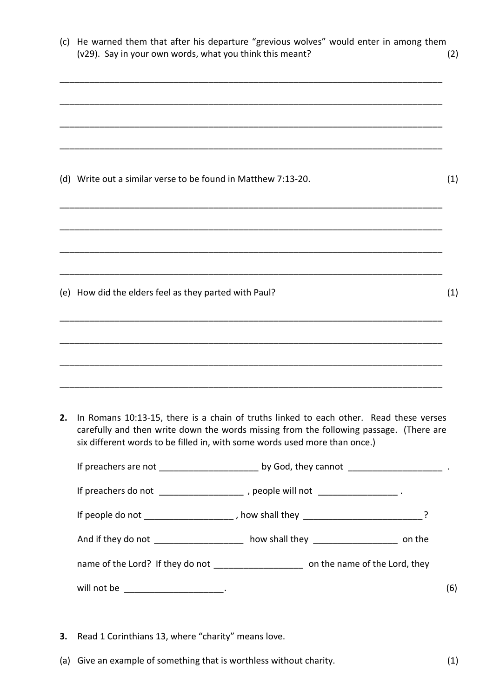| (c) | He warned them that after his departure "grevious wolves" would enter in among them<br>(v29). Say in your own words, what you think this meant?                                                                                                                |  | (2) |
|-----|----------------------------------------------------------------------------------------------------------------------------------------------------------------------------------------------------------------------------------------------------------------|--|-----|
|     |                                                                                                                                                                                                                                                                |  |     |
|     | (d) Write out a similar verse to be found in Matthew 7:13-20.                                                                                                                                                                                                  |  | (1) |
|     |                                                                                                                                                                                                                                                                |  |     |
|     | (e) How did the elders feel as they parted with Paul?                                                                                                                                                                                                          |  | (1) |
|     |                                                                                                                                                                                                                                                                |  |     |
| 2.  | In Romans 10:13-15, there is a chain of truths linked to each other. Read these verses<br>carefully and then write down the words missing from the following passage. (There are<br>six different words to be filled in, with some words used more than once.) |  |     |
|     |                                                                                                                                                                                                                                                                |  |     |
|     | If preachers do not _______________________, people will not ____________________.                                                                                                                                                                             |  |     |
|     | If people do not ______________________, how shall they __________________________?                                                                                                                                                                            |  |     |
|     | And if they do not _____________________ how shall they _______________________ on the                                                                                                                                                                         |  |     |
|     | name of the Lord? If they do not ________________________ on the name of the Lord, they                                                                                                                                                                        |  |     |
|     | will not be ________________________.                                                                                                                                                                                                                          |  | (6) |

- **3.** Read 1 Corinthians 13, where "charity" means love.
- (a) Give an example of something that is worthless without charity. (1)